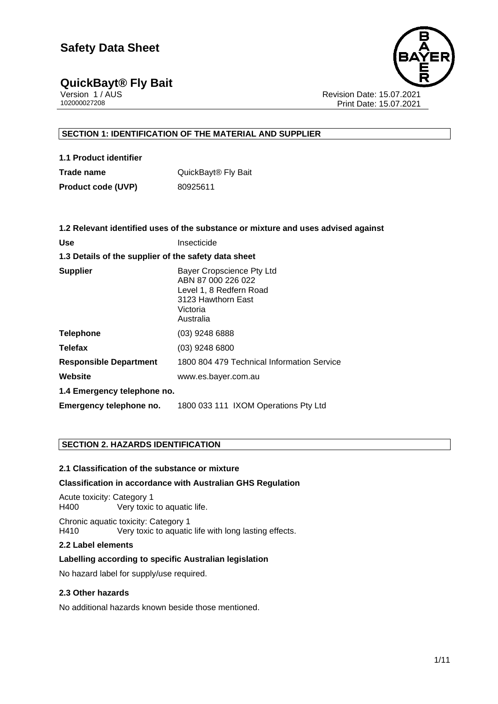## **QuickBayt<sup>®</sup> Fly Bait Version 1/AUS**

Version 1 / AUS<br>102000027208<br>Print Date: 15.07.2021 Print Date: 15.07.2021

#### **SECTION 1: IDENTIFICATION OF THE MATERIAL AND SUPPLIER**

| 1.1 Product identifier    |                                 |
|---------------------------|---------------------------------|
| Trade name                | QuickBayt <sup>®</sup> Fly Bait |
| <b>Product code (UVP)</b> | 80925611                        |

|                                                      | 1.2 Relevant identified uses of the substance or mixture and uses advised against                                         |
|------------------------------------------------------|---------------------------------------------------------------------------------------------------------------------------|
| Use                                                  | Insecticide                                                                                                               |
| 1.3 Details of the supplier of the safety data sheet |                                                                                                                           |
| Supplier                                             | Bayer Cropscience Pty Ltd<br>ABN 87 000 226 022<br>Level 1, 8 Redfern Road<br>3123 Hawthorn East<br>Victoria<br>Australia |
| <b>Telephone</b>                                     | (03) 9248 6888                                                                                                            |
| Telefax                                              | $(03)$ 9248 6800                                                                                                          |
| <b>Responsible Department</b>                        | 1800 804 479 Technical Information Service                                                                                |
| Website                                              | www.es.bayer.com.au                                                                                                       |
| 1.4 Emergency telephone no.                          |                                                                                                                           |
| Emergency telephone no.                              | 1800 033 111 IXOM Operations Pty Ltd                                                                                      |
|                                                      |                                                                                                                           |

#### **SECTION 2. HAZARDS IDENTIFICATION**

#### **2.1 Classification of the substance or mixture**

#### **Classification in accordance with Australian GHS Regulation**

Acute toxicity: Category 1 H400 Very toxic to aquatic life.

Chronic aquatic toxicity: Category 1 H410 Very toxic to aquatic life with long lasting effects.

#### **2.2 Label elements**

#### **Labelling according to specific Australian legislation**

No hazard label for supply/use required.

#### **2.3 Other hazards**

No additional hazards known beside those mentioned.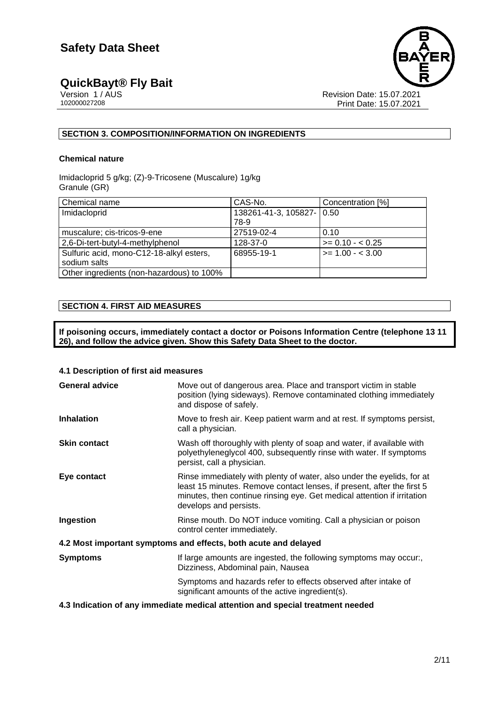

# **QuickBayt<sup>®</sup> Fly Bait**<br> **Version 1/AUS**<br>
102000027208

Revision Date: 15.07.2021 Print Date: 15.07.2021

#### **SECTION 3. COMPOSITION/INFORMATION ON INGREDIENTS**

#### **Chemical nature**

Imidacloprid 5 g/kg; (Z)-9-Tricosene (Muscalure) 1g/kg Granule (GR)

| Chemical name                             | CAS-No.                     | Concentration [%]  |
|-------------------------------------------|-----------------------------|--------------------|
| Imidacloprid                              | 138261-41-3, 105827-   0.50 |                    |
|                                           | 78-9                        |                    |
| muscalure; cis-tricos-9-ene               | 27519-02-4                  | 0.10               |
| 2,6-Di-tert-butyl-4-methylphenol          | 128-37-0                    | $>= 0.10 - 0.25$   |
| Sulfuric acid, mono-C12-18-alkyl esters,  | 68955-19-1                  | $>= 1.00 - < 3.00$ |
| sodium salts                              |                             |                    |
| Other ingredients (non-hazardous) to 100% |                             |                    |

#### **SECTION 4. FIRST AID MEASURES**

**If poisoning occurs, immediately contact a doctor or Poisons Information Centre (telephone 13 11 26), and follow the advice given. Show this Safety Data Sheet to the doctor.**

#### **4.1 Description of first aid measures**

| <b>General advice</b>                                           | Move out of dangerous area. Place and transport victim in stable<br>position (lying sideways). Remove contaminated clothing immediately<br>and dispose of safely.                                                                                     |  |
|-----------------------------------------------------------------|-------------------------------------------------------------------------------------------------------------------------------------------------------------------------------------------------------------------------------------------------------|--|
| <b>Inhalation</b>                                               | Move to fresh air. Keep patient warm and at rest. If symptoms persist,<br>call a physician.                                                                                                                                                           |  |
| <b>Skin contact</b>                                             | Wash off thoroughly with plenty of soap and water, if available with<br>polyethyleneglycol 400, subsequently rinse with water. If symptoms<br>persist, call a physician.                                                                              |  |
| Eye contact                                                     | Rinse immediately with plenty of water, also under the eyelids, for at<br>least 15 minutes. Remove contact lenses, if present, after the first 5<br>minutes, then continue rinsing eye. Get medical attention if irritation<br>develops and persists. |  |
| Ingestion                                                       | Rinse mouth. Do NOT induce vomiting. Call a physician or poison<br>control center immediately.                                                                                                                                                        |  |
| 4.2 Most important symptoms and effects, both acute and delayed |                                                                                                                                                                                                                                                       |  |
| <b>Symptoms</b>                                                 | If large amounts are ingested, the following symptoms may occur.<br>Dizziness, Abdominal pain, Nausea                                                                                                                                                 |  |
|                                                                 | Symptoms and hazards refer to effects observed after intake of<br>significant amounts of the active ingredient(s).                                                                                                                                    |  |

#### **4.3 Indication of any immediate medical attention and special treatment needed**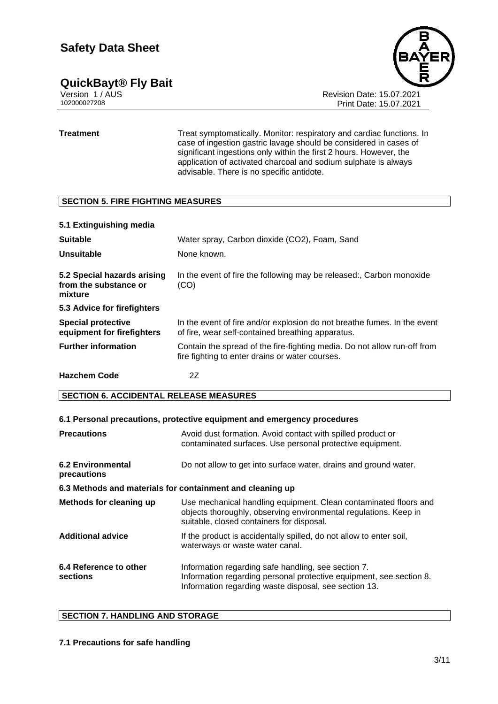#### **QuickBayt® Fly Bait 3/11**

Version 1 / AUS Revision Date: 15.07.2021

Print Date: 15.07.2021

**Treatment** Treat symptomatically. Monitor: respiratory and cardiac functions. In case of ingestion gastric lavage should be considered in cases of significant ingestions only within the first 2 hours. However, the application of activated charcoal and sodium sulphate is always advisable. There is no specific antidote.

#### **SECTION 5. FIRE FIGHTING MEASURES**

#### **5.1 Extinguishing media**

| <b>Suitable</b>                                                 | Water spray, Carbon dioxide (CO2), Foam, Sand                                                                                 |
|-----------------------------------------------------------------|-------------------------------------------------------------------------------------------------------------------------------|
| Unsuitable                                                      | None known.                                                                                                                   |
| 5.2 Special hazards arising<br>from the substance or<br>mixture | In the event of fire the following may be released:, Carbon monoxide<br>(CO)                                                  |
| 5.3 Advice for firefighters                                     |                                                                                                                               |
| <b>Special protective</b><br>equipment for firefighters         | In the event of fire and/or explosion do not breathe fumes. In the event<br>of fire, wear self-contained breathing apparatus. |
| <b>Further information</b>                                      | Contain the spread of the fire-fighting media. Do not allow run-off from<br>fire fighting to enter drains or water courses.   |
| <b>Hazchem Code</b>                                             | 2Ζ                                                                                                                            |

#### **SECTION 6. ACCIDENTAL RELEASE MEASURES**

#### **6.1 Personal precautions, protective equipment and emergency procedures Precautions Precautions** Avoid dust formation. Avoid contact with spilled product or contaminated surfaces. Use personal protective equipment. **6.2 Environmental precautions** Do not allow to get into surface water, drains and ground water. **6.3 Methods and materials for containment and cleaning up Methods for cleaning up** Use mechanical handling equipment. Clean contaminated floors and objects thoroughly, observing environmental regulations. Keep in suitable, closed containers for disposal. Additional advice **If the product is accidentally spilled, do not allow to enter soil,** waterways or waste water canal. **6.4 Reference to other sections** Information regarding safe handling, see section 7. Information regarding personal protective equipment, see section 8. Information regarding waste disposal, see section 13.

#### **SECTION 7. HANDLING AND STORAGE**

#### **7.1 Precautions for safe handling**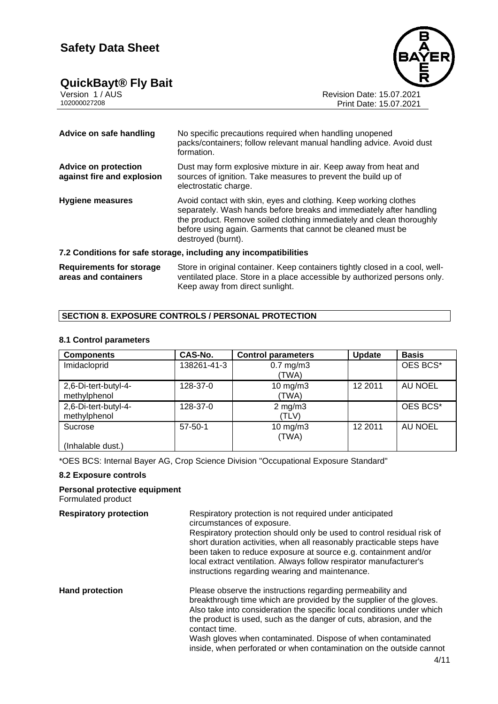#### **QuickBayt® Fly Bait 4/11**



Version 1 / AUS Revision Date: 15.07.2021

102000027208 Print Date: 15.07.2021

| Advice on safe handling                                   | No specific precautions required when handling unopened<br>packs/containers; follow relevant manual handling advice. Avoid dust<br>formation.                                                                                                                                                        |
|-----------------------------------------------------------|------------------------------------------------------------------------------------------------------------------------------------------------------------------------------------------------------------------------------------------------------------------------------------------------------|
| <b>Advice on protection</b><br>against fire and explosion | Dust may form explosive mixture in air. Keep away from heat and<br>sources of ignition. Take measures to prevent the build up of<br>electrostatic charge.                                                                                                                                            |
| <b>Hygiene measures</b>                                   | Avoid contact with skin, eyes and clothing. Keep working clothes<br>separately. Wash hands before breaks and immediately after handling<br>the product. Remove soiled clothing immediately and clean thoroughly<br>before using again. Garments that cannot be cleaned must be<br>destroyed (burnt). |
|                                                           | 7.2 Conditions for safe storage, including any incompatibilities                                                                                                                                                                                                                                     |
| <b>Requirements for storage</b><br>areas and containers   | Store in original container. Keep containers tightly closed in a cool, well-<br>ventilated place. Store in a place accessible by authorized persons only.                                                                                                                                            |

Keep away from direct sunlight.

#### **SECTION 8. EXPOSURE CONTROLS / PERSONAL PROTECTION**

#### **8.1 Control parameters**

| <b>Components</b>                    | CAS-No.       | <b>Control parameters</b> | <b>Update</b> | <b>Basis</b> |
|--------------------------------------|---------------|---------------------------|---------------|--------------|
| Imidacloprid                         | 138261-41-3   | $0.7$ mg/m $3$<br>(TWA)   |               | OES BCS*     |
| 2,6-Di-tert-butyl-4-<br>methylphenol | 128-37-0      | $10$ mg/m $3$<br>(TWA)    | 12 2011       | AU NOEL      |
| 2,6-Di-tert-butyl-4-<br>methylphenol | 128-37-0      | $2$ mg/m $3$<br>(TLV)     |               | OES BCS*     |
| Sucrose                              | $57 - 50 - 1$ | $10$ mg/m $3$<br>(TWA)    | 12 2011       | AU NOEL      |
| (Inhalable dust.)                    |               |                           |               |              |

\*OES BCS: Internal Bayer AG, Crop Science Division "Occupational Exposure Standard"

#### **8.2 Exposure controls**

#### **Personal protective equipment** Formulated product

| <b>Respiratory protection</b> | Respiratory protection is not required under anticipated<br>circumstances of exposure.<br>Respiratory protection should only be used to control residual risk of<br>short duration activities, when all reasonably practicable steps have<br>been taken to reduce exposure at source e.g. containment and/or<br>local extract ventilation. Always follow respirator manufacturer's<br>instructions regarding wearing and maintenance.    |
|-------------------------------|------------------------------------------------------------------------------------------------------------------------------------------------------------------------------------------------------------------------------------------------------------------------------------------------------------------------------------------------------------------------------------------------------------------------------------------|
| <b>Hand protection</b>        | Please observe the instructions regarding permeability and<br>breakthrough time which are provided by the supplier of the gloves.<br>Also take into consideration the specific local conditions under which<br>the product is used, such as the danger of cuts, abrasion, and the<br>contact time.<br>Wash gloves when contaminated. Dispose of when contaminated<br>inside, when perforated or when contamination on the outside cannot |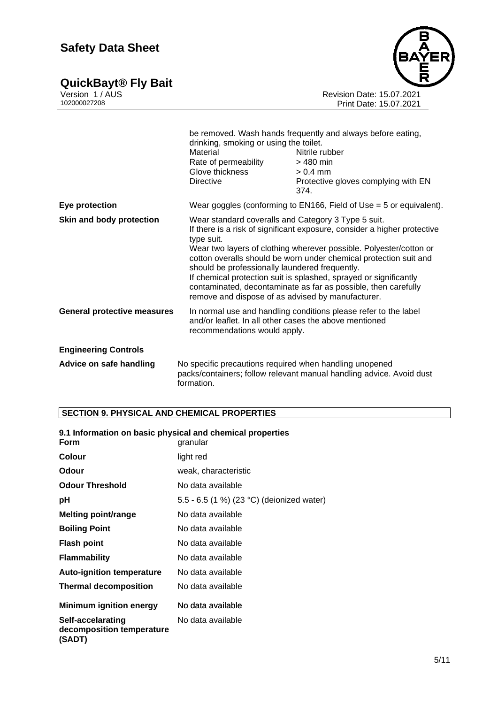**QuickBayt® Fly Bait 5/11**



Version 1 / AUS Revision Date: 15.07.2021 102000027208 Print Date: 15.07.2021

|                                    | drinking, smoking or using the toilet.<br>Material<br>Rate of permeability<br>Glove thickness<br>Directive                                                                                                                                                                                                                                                                                                                                                                                                                             | be removed. Wash hands frequently and always before eating,<br>Nitrile rubber<br>$>$ 480 min<br>$> 0.4$ mm<br>Protective gloves complying with EN<br>374. |
|------------------------------------|----------------------------------------------------------------------------------------------------------------------------------------------------------------------------------------------------------------------------------------------------------------------------------------------------------------------------------------------------------------------------------------------------------------------------------------------------------------------------------------------------------------------------------------|-----------------------------------------------------------------------------------------------------------------------------------------------------------|
| Eye protection                     |                                                                                                                                                                                                                                                                                                                                                                                                                                                                                                                                        | Wear goggles (conforming to EN166, Field of Use = 5 or equivalent).                                                                                       |
| Skin and body protection           | Wear standard coveralls and Category 3 Type 5 suit.<br>If there is a risk of significant exposure, consider a higher protective<br>type suit.<br>Wear two layers of clothing wherever possible. Polyester/cotton or<br>cotton overalls should be worn under chemical protection suit and<br>should be professionally laundered frequently.<br>If chemical protection suit is splashed, sprayed or significantly<br>contaminated, decontaminate as far as possible, then carefully<br>remove and dispose of as advised by manufacturer. |                                                                                                                                                           |
| <b>General protective measures</b> | and/or leaflet. In all other cases the above mentioned<br>recommendations would apply.                                                                                                                                                                                                                                                                                                                                                                                                                                                 | In normal use and handling conditions please refer to the label                                                                                           |
| <b>Engineering Controls</b>        |                                                                                                                                                                                                                                                                                                                                                                                                                                                                                                                                        |                                                                                                                                                           |
| Advice on safe handling            | No specific precautions required when handling unopened<br>formation.                                                                                                                                                                                                                                                                                                                                                                                                                                                                  | packs/containers; follow relevant manual handling advice. Avoid dust                                                                                      |

#### **SECTION 9. PHYSICAL AND CHEMICAL PROPERTIES**

| 9.1 Information on basic physical and chemical properties |                                           |  |
|-----------------------------------------------------------|-------------------------------------------|--|
| <b>Form</b>                                               | granular                                  |  |
| <b>Colour</b>                                             | light red                                 |  |
| Odour                                                     | weak, characteristic                      |  |
| <b>Odour Threshold</b>                                    | No data available                         |  |
| рH                                                        | 5.5 - 6.5 (1 %) (23 °C) (deionized water) |  |
| <b>Melting point/range</b>                                | No data available                         |  |
| <b>Boiling Point</b>                                      | No data available                         |  |
| <b>Flash point</b>                                        | No data available                         |  |
| <b>Flammability</b>                                       | No data available                         |  |
| <b>Auto-ignition temperature</b>                          | No data available                         |  |
| <b>Thermal decomposition</b>                              | No data available                         |  |
| <b>Minimum ignition energy</b>                            | No data available                         |  |
| Self-accelarating<br>decomposition temperature<br>(SADT)  | No data available                         |  |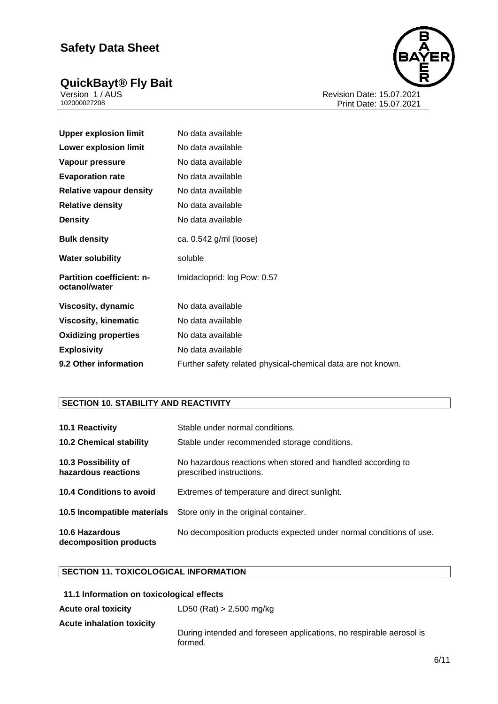#### **QuickBayt® Fly Bait 6/11**



Version 1 / AUS Revision Date: 15.07.2021 102000027208 Print Date: 15.07.2021

| <b>Upper explosion limit</b>               | No data available                                            |
|--------------------------------------------|--------------------------------------------------------------|
| <b>Lower explosion limit</b>               | No data available                                            |
| Vapour pressure                            | No data available                                            |
| <b>Evaporation rate</b>                    | No data available                                            |
| <b>Relative vapour density</b>             | No data available                                            |
| <b>Relative density</b>                    | No data available                                            |
| <b>Density</b>                             | No data available                                            |
| <b>Bulk density</b>                        | ca. 0.542 g/ml (loose)                                       |
| <b>Water solubility</b>                    | soluble                                                      |
| Partition coefficient: n-<br>octanol/water | Imidacloprid: log Pow: 0.57                                  |
| <b>Viscosity, dynamic</b>                  | No data available                                            |
| <b>Viscosity, kinematic</b>                | No data available                                            |
| <b>Oxidizing properties</b>                | No data available                                            |
| <b>Explosivity</b>                         | No data available                                            |
| 9.2 Other information                      | Further safety related physical-chemical data are not known. |

#### **SECTION 10. STABILITY AND REACTIVITY**

| 10.1 Reactivity<br><b>10.2 Chemical stability</b> | Stable under normal conditions.<br>Stable under recommended storage conditions.         |
|---------------------------------------------------|-----------------------------------------------------------------------------------------|
| 10.3 Possibility of<br>hazardous reactions        | No hazardous reactions when stored and handled according to<br>prescribed instructions. |
| 10.4 Conditions to avoid                          | Extremes of temperature and direct sunlight.                                            |
|                                                   | <b>10.5 Incompatible materials</b> Store only in the original container.                |
| <b>10.6 Hazardous</b><br>decomposition products   | No decomposition products expected under normal conditions of use.                      |

#### **SECTION 11. TOXICOLOGICAL INFORMATION**

| 11.1 Information on toxicological effects |                                                                                |
|-------------------------------------------|--------------------------------------------------------------------------------|
| <b>Acute oral toxicity</b>                | $LD50$ (Rat) > 2,500 mg/kg                                                     |
| <b>Acute inhalation toxicity</b>          | During intended and foreseen applications, no respirable aerosol is<br>formed. |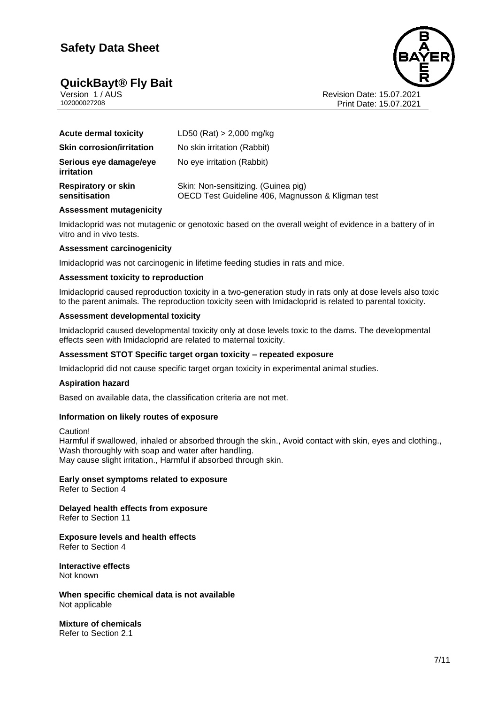#### **QuickBayt® Fly Bait 7/11**



Version 1 / AUS<br>102000027208<br>Print Date: 15.07.2021 Print Date: 15.07.2021

| <b>Acute dermal toxicity</b>                | $LD50$ (Rat) > 2,000 mg/kg                                                               |
|---------------------------------------------|------------------------------------------------------------------------------------------|
| <b>Skin corrosion/irritation</b>            | No skin irritation (Rabbit)                                                              |
| Serious eye damage/eye<br>irritation        | No eye irritation (Rabbit)                                                               |
| <b>Respiratory or skin</b><br>sensitisation | Skin: Non-sensitizing. (Guinea pig)<br>OECD Test Guideline 406, Magnusson & Kligman test |

#### **Assessment mutagenicity**

Imidacloprid was not mutagenic or genotoxic based on the overall weight of evidence in a battery of in vitro and in vivo tests.

#### **Assessment carcinogenicity**

Imidacloprid was not carcinogenic in lifetime feeding studies in rats and mice.

#### **Assessment toxicity to reproduction**

Imidacloprid caused reproduction toxicity in a two-generation study in rats only at dose levels also toxic to the parent animals. The reproduction toxicity seen with Imidacloprid is related to parental toxicity.

#### **Assessment developmental toxicity**

Imidacloprid caused developmental toxicity only at dose levels toxic to the dams. The developmental effects seen with Imidacloprid are related to maternal toxicity.

#### **Assessment STOT Specific target organ toxicity – repeated exposure**

Imidacloprid did not cause specific target organ toxicity in experimental animal studies.

#### **Aspiration hazard**

Based on available data, the classification criteria are not met.

#### **Information on likely routes of exposure**

Caution!

Harmful if swallowed, inhaled or absorbed through the skin., Avoid contact with skin, eyes and clothing., Wash thoroughly with soap and water after handling. May cause slight irritation., Harmful if absorbed through skin.

**Early onset symptoms related to exposure** Refer to Section 4

**Delayed health effects from exposure** Refer to Section 11

#### **Exposure levels and health effects** Refer to Section 4

**Interactive effects** Not known

**When specific chemical data is not available** Not applicable

**Mixture of chemicals** Refer to Section 2.1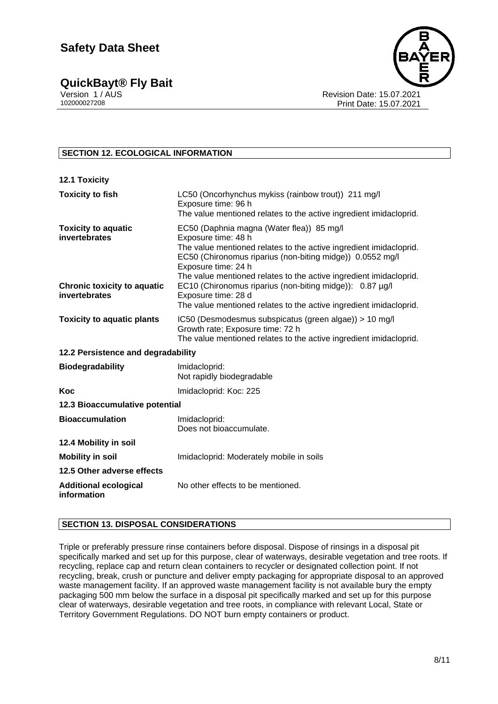**QuickBayt<sup>®</sup> Fly Bait Version 1/AUS** 



Version 1 / AUS Revision Date: 15.07.2021 Print Date: 15.07.2021

#### **SECTION 12. ECOLOGICAL INFORMATION**

| <b>12.1 Toxicity</b>                                |                                                                                                                                                                                                                                                                                                  |  |  |
|-----------------------------------------------------|--------------------------------------------------------------------------------------------------------------------------------------------------------------------------------------------------------------------------------------------------------------------------------------------------|--|--|
| <b>Toxicity to fish</b>                             | LC50 (Oncorhynchus mykiss (rainbow trout)) 211 mg/l<br>Exposure time: 96 h<br>The value mentioned relates to the active ingredient imidacloprid.                                                                                                                                                 |  |  |
| <b>Toxicity to aquatic</b><br>invertebrates         | EC50 (Daphnia magna (Water flea)) 85 mg/l<br>Exposure time: 48 h<br>The value mentioned relates to the active ingredient imidacloprid.<br>EC50 (Chironomus riparius (non-biting midge)) 0.0552 mg/l<br>Exposure time: 24 h<br>The value mentioned relates to the active ingredient imidacloprid. |  |  |
| <b>Chronic toxicity to aquatic</b><br>invertebrates | EC10 (Chironomus riparius (non-biting midge)): 0.87 µg/l<br>Exposure time: 28 d<br>The value mentioned relates to the active ingredient imidacloprid.                                                                                                                                            |  |  |
| <b>Toxicity to aquatic plants</b>                   | IC50 (Desmodesmus subspicatus (green algae)) > 10 mg/l<br>Growth rate; Exposure time: 72 h<br>The value mentioned relates to the active ingredient imidacloprid.                                                                                                                                 |  |  |
| 12.2 Persistence and degradability                  |                                                                                                                                                                                                                                                                                                  |  |  |
| <b>Biodegradability</b>                             | Imidacloprid:<br>Not rapidly biodegradable                                                                                                                                                                                                                                                       |  |  |
| <b>Koc</b>                                          | Imidacloprid: Koc: 225                                                                                                                                                                                                                                                                           |  |  |
| 12.3 Bioaccumulative potential                      |                                                                                                                                                                                                                                                                                                  |  |  |
| <b>Bioaccumulation</b>                              | Imidacloprid:<br>Does not bioaccumulate.                                                                                                                                                                                                                                                         |  |  |
| 12.4 Mobility in soil                               |                                                                                                                                                                                                                                                                                                  |  |  |
| <b>Mobility in soil</b>                             | Imidacloprid: Moderately mobile in soils                                                                                                                                                                                                                                                         |  |  |
| 12.5 Other adverse effects                          |                                                                                                                                                                                                                                                                                                  |  |  |
| <b>Additional ecological</b><br>information         | No other effects to be mentioned.                                                                                                                                                                                                                                                                |  |  |

#### **SECTION 13. DISPOSAL CONSIDERATIONS**

Triple or preferably pressure rinse containers before disposal. Dispose of rinsings in a disposal pit specifically marked and set up for this purpose, clear of waterways, desirable vegetation and tree roots. If recycling, replace cap and return clean containers to recycler or designated collection point. If not recycling, break, crush or puncture and deliver empty packaging for appropriate disposal to an approved waste management facility. If an approved waste management facility is not available bury the empty packaging 500 mm below the surface in a disposal pit specifically marked and set up for this purpose clear of waterways, desirable vegetation and tree roots, in compliance with relevant Local, State or Territory Government Regulations. DO NOT burn empty containers or product.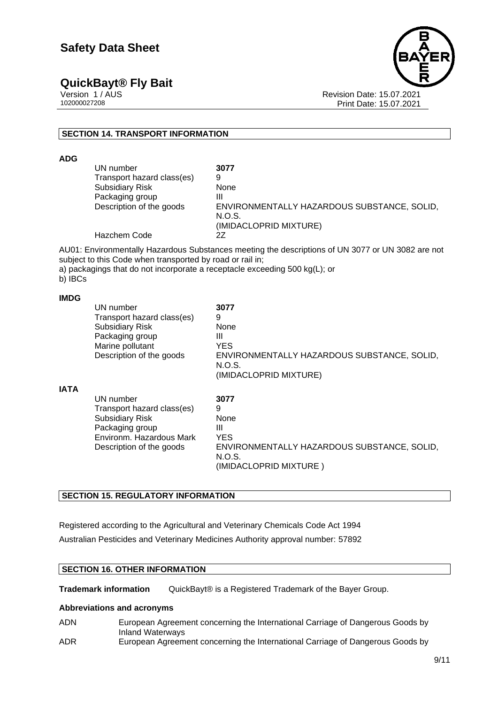**QuickBayt® Fly Bait 9/11**



Version 1 / AUS Revision Date: 15.07.2021 Print Date: 15.07.2021

#### **SECTION 14. TRANSPORT INFORMATION**

**ADG**

| UN number                  | 3077                                        |
|----------------------------|---------------------------------------------|
| Transport hazard class(es) | 9                                           |
| <b>Subsidiary Risk</b>     | None                                        |
| Packaging group            | Ш                                           |
| Description of the goods   | ENVIRONMENTALLY HAZARDOUS SUBSTANCE, SOLID, |
|                            | N.O.S.                                      |
|                            | (IMIDACLOPRID MIXTURE)                      |
| Hazchem Code               | 27                                          |

AU01: Environmentally Hazardous Substances meeting the descriptions of UN 3077 or UN 3082 are not subject to this Code when transported by road or rail in;

a) packagings that do not incorporate a receptacle exceeding 500 kg(L); or

b) IBCs

#### **IMDG**

|             | UN number<br>Transport hazard class(es)<br><b>Subsidiary Risk</b><br>Packaging group<br>Marine pollutant<br>Description of the goods         | 3077<br>9<br>None<br>Ш<br><b>YES</b><br>ENVIRONMENTALLY HAZARDOUS SUBSTANCE, SOLID,<br>N.O.S.<br>(IMIDACLOPRID MIXTURE) |
|-------------|----------------------------------------------------------------------------------------------------------------------------------------------|-------------------------------------------------------------------------------------------------------------------------|
| <b>IATA</b> | UN number<br>Transport hazard class(es)<br><b>Subsidiary Risk</b><br>Packaging group<br>Environm. Hazardous Mark<br>Description of the goods | 3077<br>9<br>None<br>Ш<br><b>YES</b><br>ENVIRONMENTALLY HAZARDOUS SUBSTANCE, SOLID,<br>N.O.S.<br>(IMIDACLOPRID MIXTURE) |

#### **SECTION 15. REGULATORY INFORMATION**

Registered according to the Agricultural and Veterinary Chemicals Code Act 1994

Australian Pesticides and Veterinary Medicines Authority approval number: 57892

#### **SECTION 16. OTHER INFORMATION**

**Trademark information** QuickBayt® is a Registered Trademark of the Bayer Group.

#### **Abbreviations and acronyms**

- ADN European Agreement concerning the International Carriage of Dangerous Goods by Inland Waterways
- ADR European Agreement concerning the International Carriage of Dangerous Goods by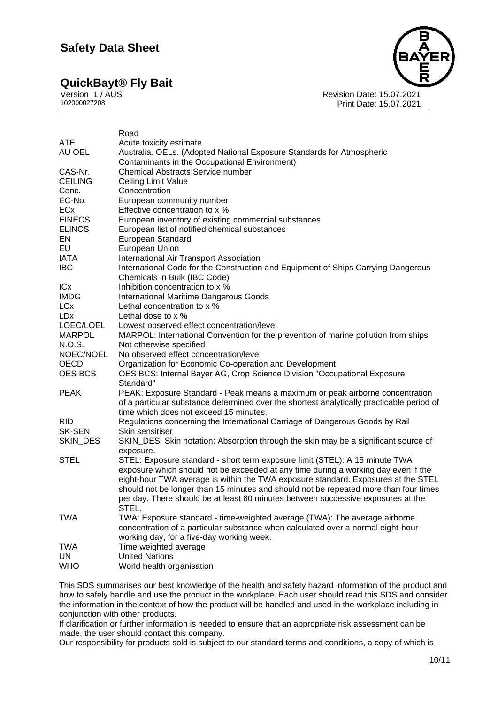## **QuickBayt<sup>®</sup> Fly Bait Version 1/AUS**

Version 1 / AUS<br>102000027208<br>Print Date: 15.07.2021 Print Date: 15.07.2021

|                | Road                                                                                                                                                                     |  |  |
|----------------|--------------------------------------------------------------------------------------------------------------------------------------------------------------------------|--|--|
| <b>ATE</b>     | Acute toxicity estimate                                                                                                                                                  |  |  |
| AU OEL         | Australia. OELs. (Adopted National Exposure Standards for Atmospheric                                                                                                    |  |  |
|                | Contaminants in the Occupational Environment)                                                                                                                            |  |  |
| CAS-Nr.        | <b>Chemical Abstracts Service number</b>                                                                                                                                 |  |  |
| <b>CEILING</b> | Ceiling Limit Value                                                                                                                                                      |  |  |
| Conc.          | Concentration                                                                                                                                                            |  |  |
| EC-No.         | European community number                                                                                                                                                |  |  |
| ECx            | Effective concentration to x %                                                                                                                                           |  |  |
| <b>EINECS</b>  | European inventory of existing commercial substances                                                                                                                     |  |  |
| <b>ELINCS</b>  | European list of notified chemical substances                                                                                                                            |  |  |
| EN             | European Standard                                                                                                                                                        |  |  |
| EU             | European Union                                                                                                                                                           |  |  |
| <b>IATA</b>    | International Air Transport Association                                                                                                                                  |  |  |
| <b>IBC</b>     | International Code for the Construction and Equipment of Ships Carrying Dangerous                                                                                        |  |  |
|                | Chemicals in Bulk (IBC Code)                                                                                                                                             |  |  |
| ICx            | Inhibition concentration to x %                                                                                                                                          |  |  |
| <b>IMDG</b>    | <b>International Maritime Dangerous Goods</b>                                                                                                                            |  |  |
| <b>LCx</b>     | Lethal concentration to x %                                                                                                                                              |  |  |
| <b>LDx</b>     | Lethal dose to $x$ %                                                                                                                                                     |  |  |
| LOEC/LOEL      | Lowest observed effect concentration/level                                                                                                                               |  |  |
| <b>MARPOL</b>  | MARPOL: International Convention for the prevention of marine pollution from ships                                                                                       |  |  |
| N.O.S.         | Not otherwise specified                                                                                                                                                  |  |  |
| NOEC/NOEL      | No observed effect concentration/level                                                                                                                                   |  |  |
| <b>OECD</b>    | Organization for Economic Co-operation and Development                                                                                                                   |  |  |
| OES BCS        | OES BCS: Internal Bayer AG, Crop Science Division "Occupational Exposure<br>Standard"                                                                                    |  |  |
| <b>PEAK</b>    | PEAK: Exposure Standard - Peak means a maximum or peak airborne concentration                                                                                            |  |  |
|                | of a particular substance determined over the shortest analytically practicable period of<br>time which does not exceed 15 minutes.                                      |  |  |
| <b>RID</b>     | Regulations concerning the International Carriage of Dangerous Goods by Rail                                                                                             |  |  |
| <b>SK-SEN</b>  | Skin sensitiser                                                                                                                                                          |  |  |
| SKIN_DES       | SKIN_DES: Skin notation: Absorption through the skin may be a significant source of                                                                                      |  |  |
|                | exposure.                                                                                                                                                                |  |  |
| <b>STEL</b>    | STEL: Exposure standard - short term exposure limit (STEL): A 15 minute TWA                                                                                              |  |  |
|                | exposure which should not be exceeded at any time during a working day even if the                                                                                       |  |  |
|                | eight-hour TWA average is within the TWA exposure standard. Exposures at the STEL                                                                                        |  |  |
|                | should not be longer than 15 minutes and should not be repeated more than four times<br>per day. There should be at least 60 minutes between successive exposures at the |  |  |
|                | STEL.                                                                                                                                                                    |  |  |
| <b>TWA</b>     | TWA: Exposure standard - time-weighted average (TWA): The average airborne                                                                                               |  |  |
|                | concentration of a particular substance when calculated over a normal eight-hour                                                                                         |  |  |
|                | working day, for a five-day working week.                                                                                                                                |  |  |
| TWA            | Time weighted average                                                                                                                                                    |  |  |
| UN             | <b>United Nations</b>                                                                                                                                                    |  |  |
| <b>WHO</b>     | World health organisation                                                                                                                                                |  |  |

This SDS summarises our best knowledge of the health and safety hazard information of the product and how to safely handle and use the product in the workplace. Each user should read this SDS and consider the information in the context of how the product will be handled and used in the workplace including in conjunction with other products.

If clarification or further information is needed to ensure that an appropriate risk assessment can be made, the user should contact this company.

Our responsibility for products sold is subject to our standard terms and conditions, a copy of which is